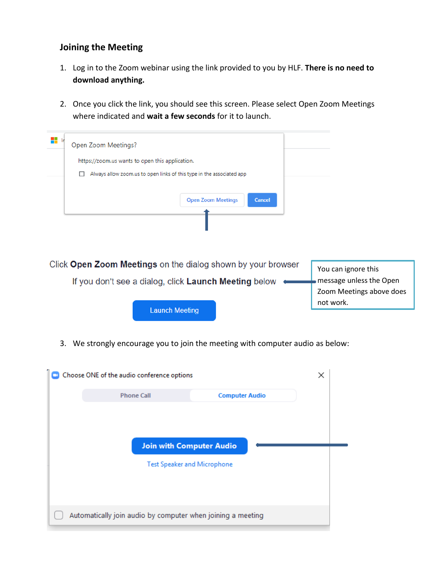## **Joining the Meeting**

- 1. Log in to the Zoom webinar using the link provided to you by HLF. **There is no need to download anything.**
- 2. Once you click the link, you should see this screen. Please select Open Zoom Meetings where indicated and **wait a few seconds** for it to launch.

| H In<br>Open Zoom Meetings?<br>https://zoom.us wants to open this application.<br>Always allow zoom.us to open links of this type in the associated app |                                                                            |
|---------------------------------------------------------------------------------------------------------------------------------------------------------|----------------------------------------------------------------------------|
| <b>Open Zoom Meetings</b><br><b>Cancel</b>                                                                                                              |                                                                            |
| Click Open Zoom Meetings on the dialog shown by your browser<br>If you don't see a dialog, click Launch Meeting below                                   | You can ignore this<br>message unless the Open<br>Zoom Meetings above does |
| <b>Launch Meeting</b>                                                                                                                                   | not work.                                                                  |

3. We strongly encourage you to join the meeting with computer audio as below:

| Choose ONE of the audio conference options                            |                       | × |
|-----------------------------------------------------------------------|-----------------------|---|
| <b>Phone Call</b>                                                     | <b>Computer Audio</b> |   |
| <b>Join with Computer Audio</b><br><b>Test Speaker and Microphone</b> |                       |   |
| Automatically join audio by computer when joining a meeting           |                       |   |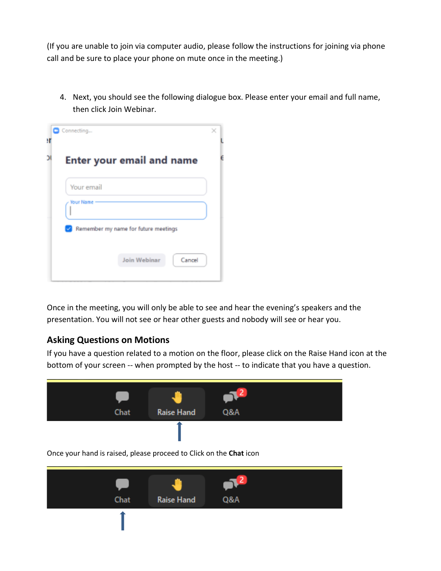(If you are unable to join via computer audio, please follow the instructions for joining via phone call and be sure to place your phone on mute once in the meeting.)

4. Next, you should see the following dialogue box. Please enter your email and full name, then click Join Webinar.

| Connecting       |                                      |
|------------------|--------------------------------------|
|                  | <b>Enter your email and name</b>     |
| Your email       |                                      |
| <b>Your Name</b> |                                      |
|                  | Remember my name for future meetings |
|                  | Join Webinar<br>Cancel               |
|                  |                                      |

Once in the meeting, you will only be able to see and hear the evening's speakers and the presentation. You will not see or hear other guests and nobody will see or hear you.

## **Asking Questions on Motions**

If you have a question related to a motion on the floor, please click on the Raise Hand icon at the bottom of your screen -- when prompted by the host -- to indicate that you have a question.